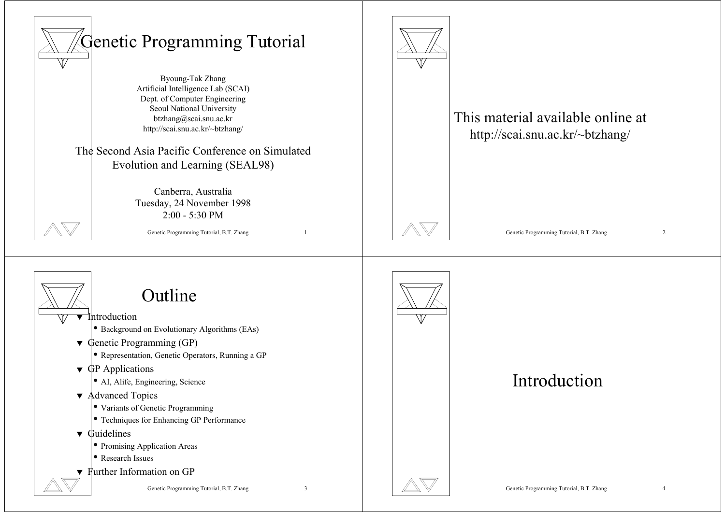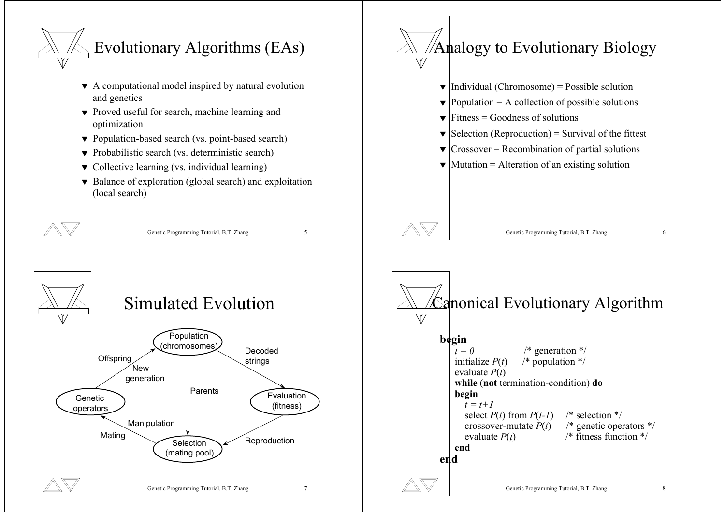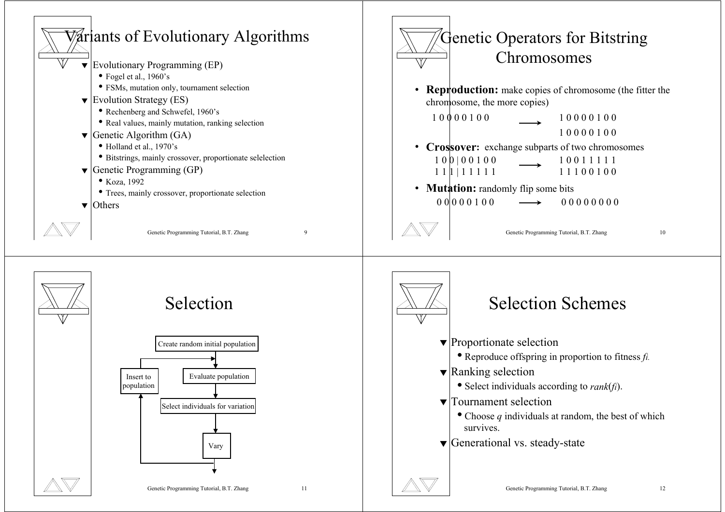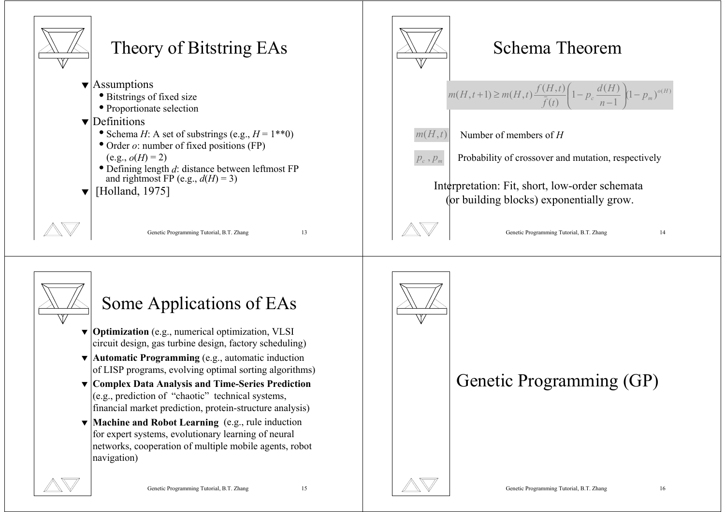



### Some Applications of EAs

- ▼ **Optimization** (e.g., numerical optimization, VLSI circuit design, gas turbine design, factory scheduling)
- ▼ **Automatic Programming** (e.g., automatic induction of LISP programs, evolving optimal sorting algorithms)
- ▼ **Complex Data Analysis and Time-Series Prediction** (e.g., prediction of "chaotic" technical systems, financial market prediction, protein-structure analysis)
- ▼ **Machine and Robot Learning** (e.g., rule induction for expert systems, evolutionary learning of neural networks, cooperation of multiple mobile agents, robot navigation)



### Genetic Programming (GP)





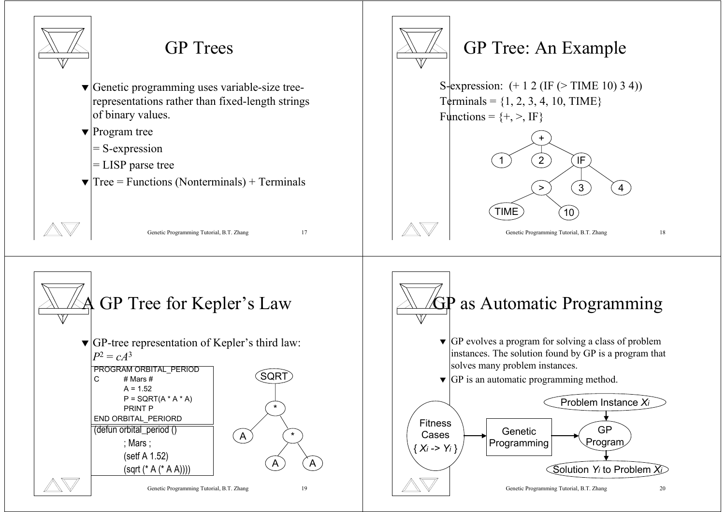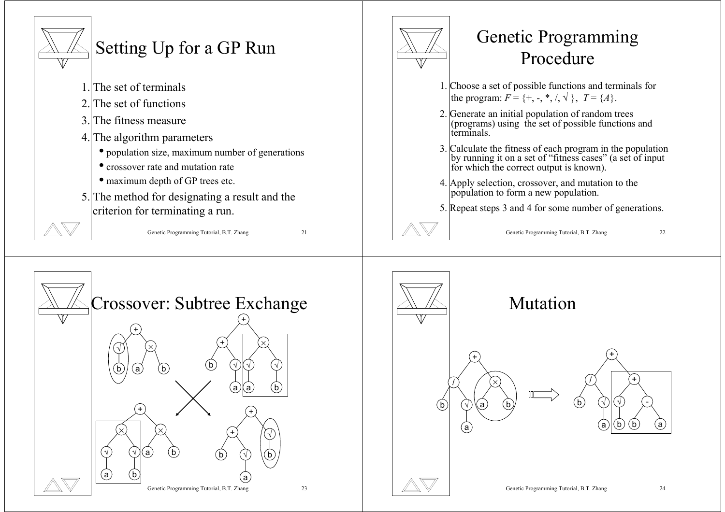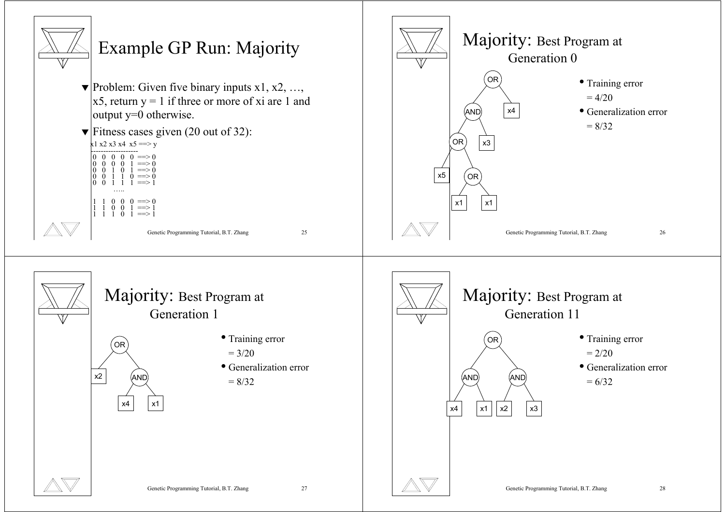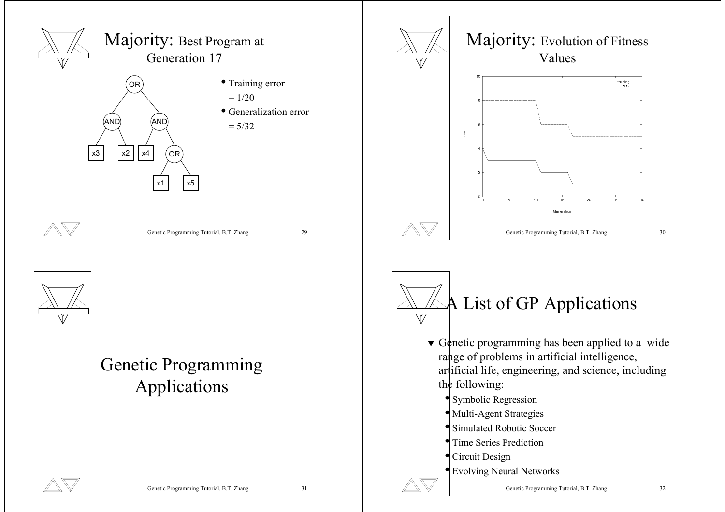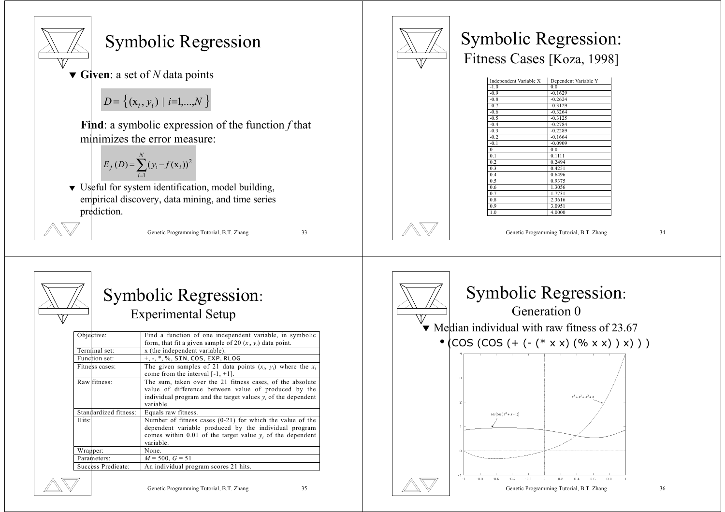

#### Symbolic Regression

▼ **Given**: a set of *N* data points

 $D = \{ (x_i, y_i) \mid i=1,...,N \}$ 

**Find**: a symbolic expression of the function *f* that minimizes the error measure:

$$
E_f(D) = \sum_{i=1}^{N} (y_i - f(x_i))^2
$$

▼ Useful for system identification, model building, empirical discovery, data mining, and time series prediction.



Genetic Programming Tutorial, B.T. Zhang 33



# Symbolic Regression:

Experimental Setup

| Objective:          |                       | Find a function of one independent variable, in symbolic         |  |  |  |
|---------------------|-----------------------|------------------------------------------------------------------|--|--|--|
|                     |                       | form, that fit a given sample of 20 $(x_i, y_i)$ data point.     |  |  |  |
|                     | Terminal set:         | x (the independent variable).                                    |  |  |  |
|                     | Function set:         | +, -, *, %, SIN, COS, EXP, RLOG                                  |  |  |  |
|                     | Fitness cases:        | The given samples of 21 data points $(x_i, y_i)$ where the $x_i$ |  |  |  |
|                     |                       | come from the interval $[-1, +1]$ .                              |  |  |  |
|                     | Raw fitness:          | The sum, taken over the 21 fitness cases, of the absolute        |  |  |  |
|                     |                       | value of difference between value of produced by the             |  |  |  |
|                     |                       | individual program and the target values $y_i$ of the dependent  |  |  |  |
|                     |                       | variable.                                                        |  |  |  |
|                     | Standardized fitness: | Equals raw fitness.                                              |  |  |  |
| Hits:               |                       | Number of fitness cases $(0-21)$ for which the value of the      |  |  |  |
|                     |                       | dependent variable produced by the individual program            |  |  |  |
|                     |                       | comes within 0.01 of the target value $y_i$ of the dependent     |  |  |  |
|                     |                       | variable.                                                        |  |  |  |
| Wrapper:            |                       | None.                                                            |  |  |  |
| Parameters:         |                       | $M = 500, G = 51$                                                |  |  |  |
| Succless Predicate: |                       | An individual program scores 21 hits.                            |  |  |  |
|                     |                       |                                                                  |  |  |  |





### Symbolic Regression: Fitness Cases [Koza, 1998]

| Independent Variable X | Dependent Variable Y |
|------------------------|----------------------|
| $-1.0$                 | 0.0                  |
| $-0.9$                 | $-0.1629$            |
| $-0.8$                 | $-0.2624$            |
| $-0.7$                 | $-0.3129$            |
| $-0.6$                 | $-0.3264$            |
| $-0.5$                 | $-0.3125$            |
| $-0.4$                 | $-0.2784$            |
| $-0.3$                 | $-0.2289$            |
| $-0.2$                 | $-0.1664$            |
| $-0.1$                 | $-0.0909$            |
| $\theta$               | 0 <sub>0</sub>       |
| 0.1                    | 0.1111               |
| 0.2                    | 0.2494               |
| 0.3                    | 0.4251               |
| 0.4                    | 0.6496               |
| 0.5                    | 0.9375               |
| 0.6                    | 1.3056               |
| 0.7                    | 1.7731               |
| 0.8                    | 2.3616               |
| 0.9                    | 3.0951               |
| 1.0                    | 4.0000               |

Genetic Programming Tutorial, B.T. Zhang 34

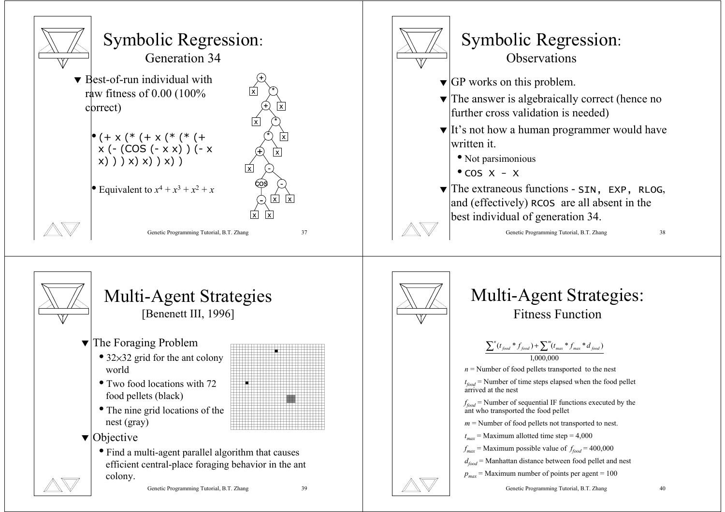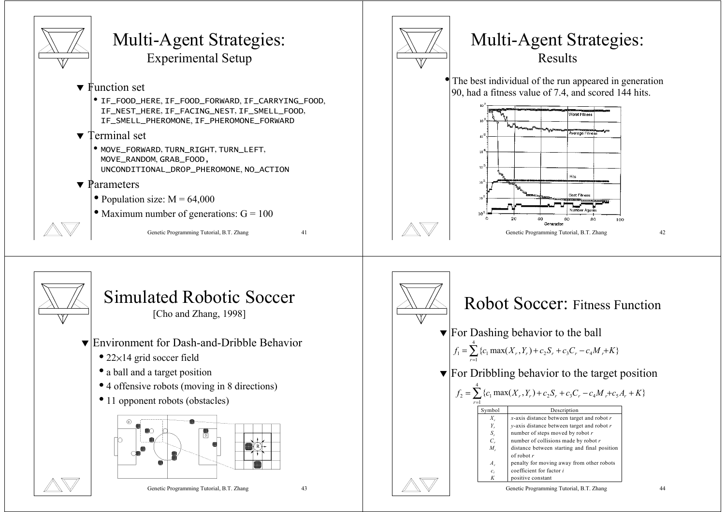

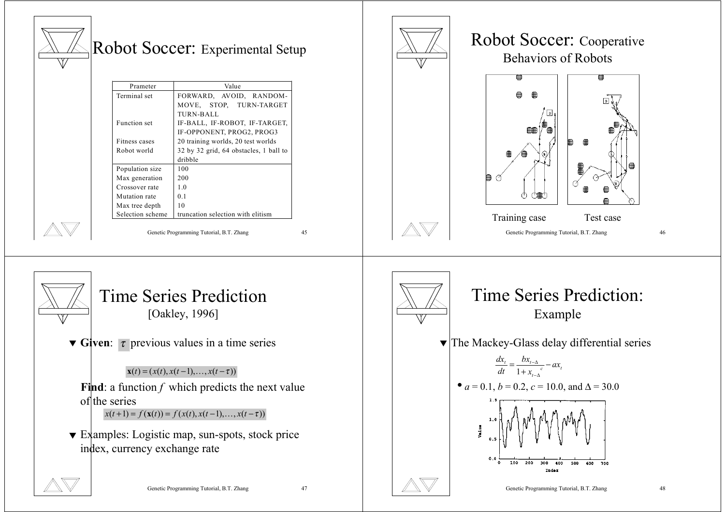| Prameter<br>Terminal set<br>Function set<br>Fitness cases<br>Robot world<br>Population size<br>Max generation<br>Crossover rate<br>Mutation rate<br>Max tree depth<br>Selection scheme | Robot Soccer: Experimental Setup<br>Value<br>FORWARD, AVOID, RANDOM-<br>MOVE, STOP, TURN-TARGET<br><b>TURN-BALL</b><br>IF-BALL, IF-ROBOT, IF-TARGET,<br>IF-OPPONENT, PROG2, PROG3<br>20 training worlds, 20 test worlds<br>32 by 32 grid, 64 obstacles, 1 ball to<br>dribble<br>100<br>200<br>1.0<br>0.1<br>10<br>truncation selection with elitism<br>Genetic Programming Tutorial, B.T. Zhang<br>45 |  | Robot Soccer: Cooperative<br><b>Behaviors of Robots</b><br>▦<br>ੴ∰<br>Training case<br>Test case<br>Genetic Programming Tutorial, B.T. Zhang<br>46                                                                                                                                                                                                                                                          |
|----------------------------------------------------------------------------------------------------------------------------------------------------------------------------------------|-------------------------------------------------------------------------------------------------------------------------------------------------------------------------------------------------------------------------------------------------------------------------------------------------------------------------------------------------------------------------------------------------------|--|-------------------------------------------------------------------------------------------------------------------------------------------------------------------------------------------------------------------------------------------------------------------------------------------------------------------------------------------------------------------------------------------------------------|
| of the series<br>index, currency exchange rate                                                                                                                                         | <b>Time Series Prediction</b><br>[Oakley, 1996]<br><b>v</b> Given: $\tau$ previous values in a time series<br>$\mathbf{x}(t) = (x(t), x(t-1), \dots, x(t-\tau))$<br>Find: a function $f$ which predicts the next value<br>$x(t+1) = f(x(t)) = f(x(t), x(t-1),,x(t-\tau))$<br>$\blacktriangledown$ Examples: Logistic map, sun-spots, stock price<br>Genetic Programming Tutorial, B.T. Zhang<br>47    |  | <b>Time Series Prediction:</b><br>Example<br>$\blacktriangledown$ The Mackey-Glass delay differential series<br>$\frac{dx_t}{dt} = \frac{bx_{t-\Delta}}{1 + x_{t-\Delta}} - ax_t$<br>• $a = 0.1$ , $b = 0.2$ , $c = 10.0$ , and $\Delta = 30.0$<br>1.5<br>1,0<br>Value<br>0.5<br>0.0<br>200<br>$\circ$<br>100<br>300<br>400<br>500<br>600<br>700<br>Index<br>Genetic Programming Tutorial, B.T. Zhang<br>48 |

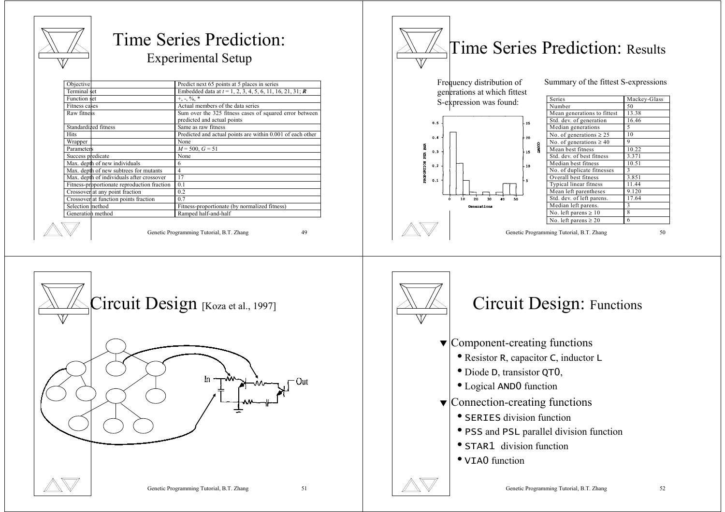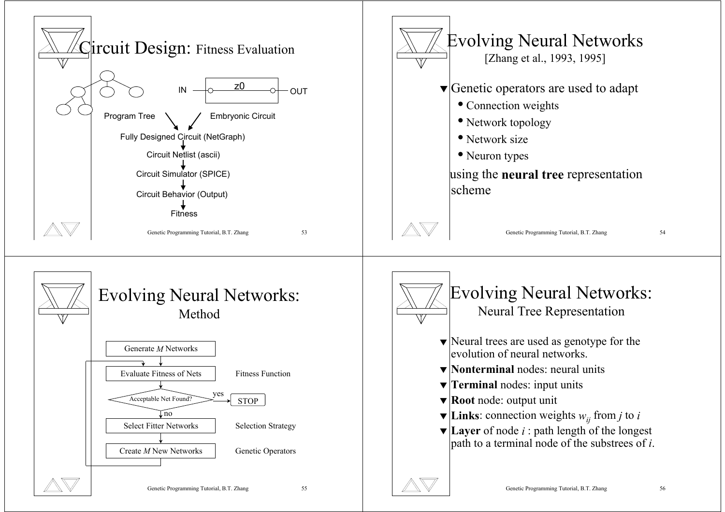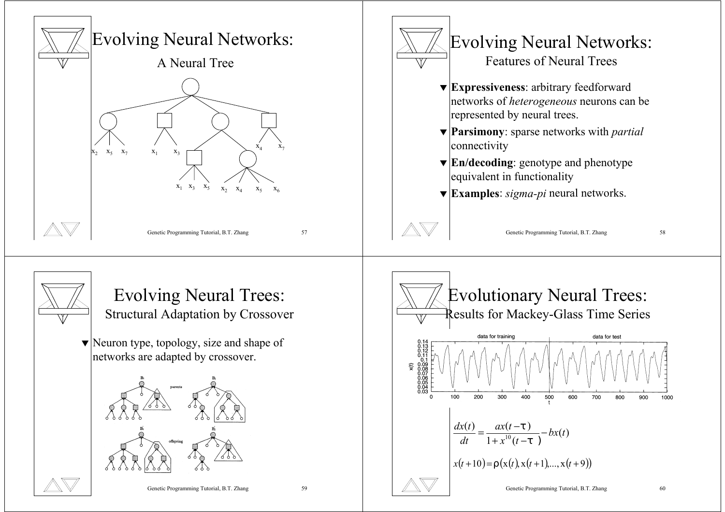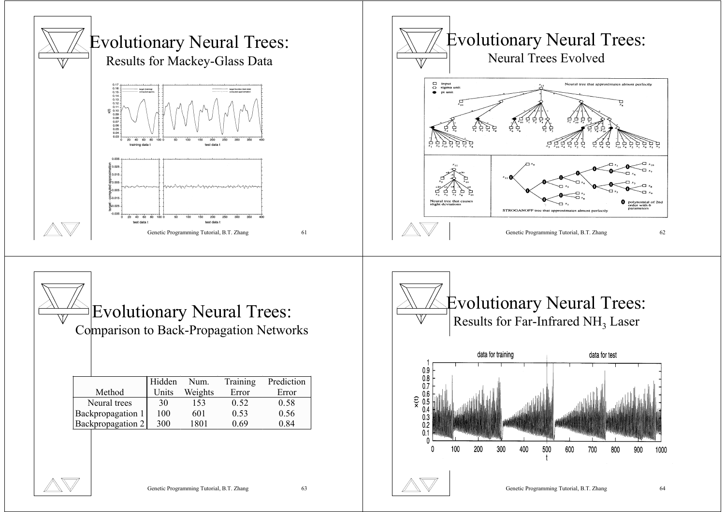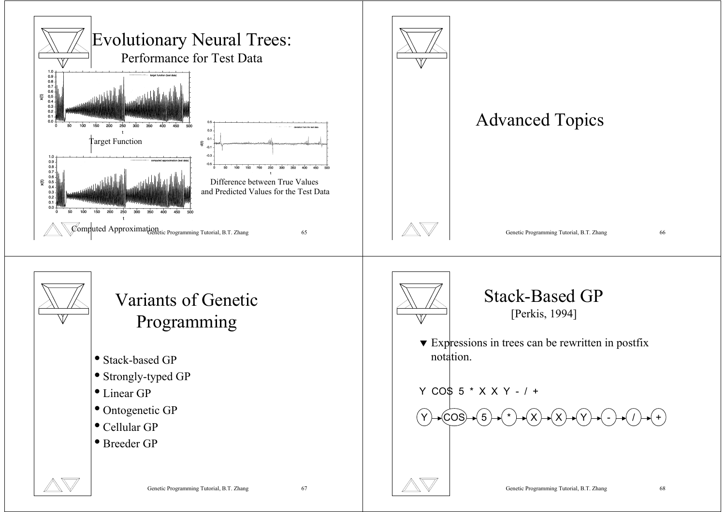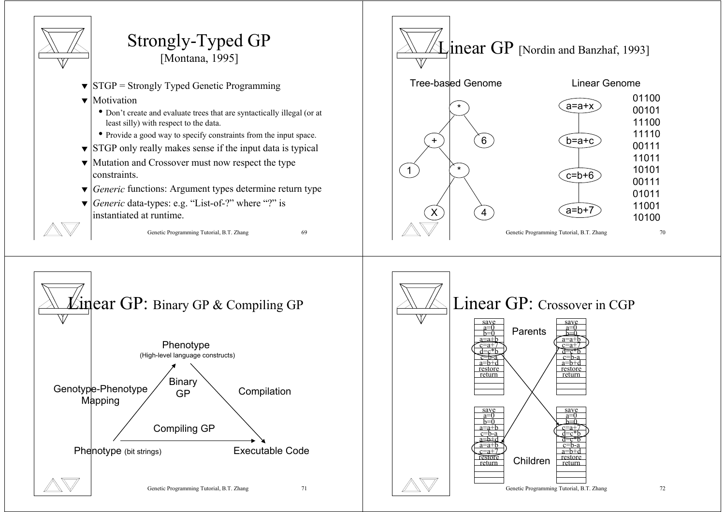

Genetic Programming Tutorial, B.T. Zhang 71

Genetic Programming Tutorial, B.T. Zhang 72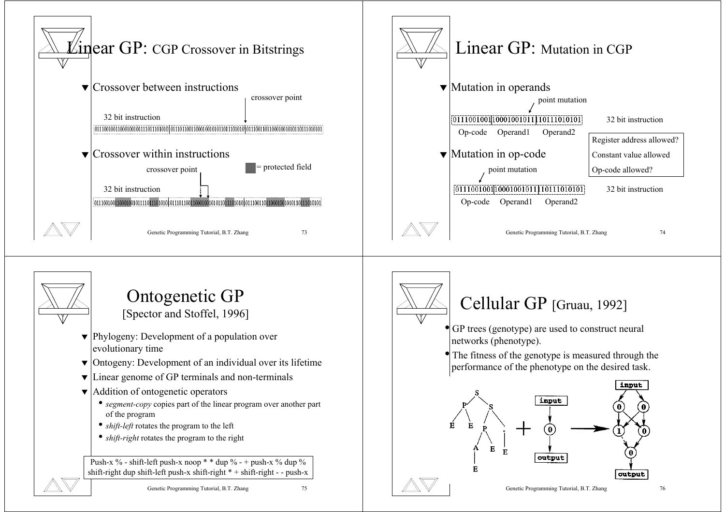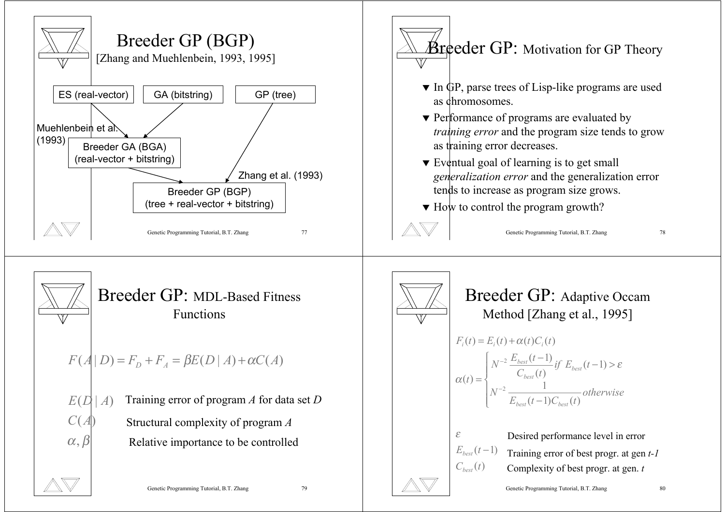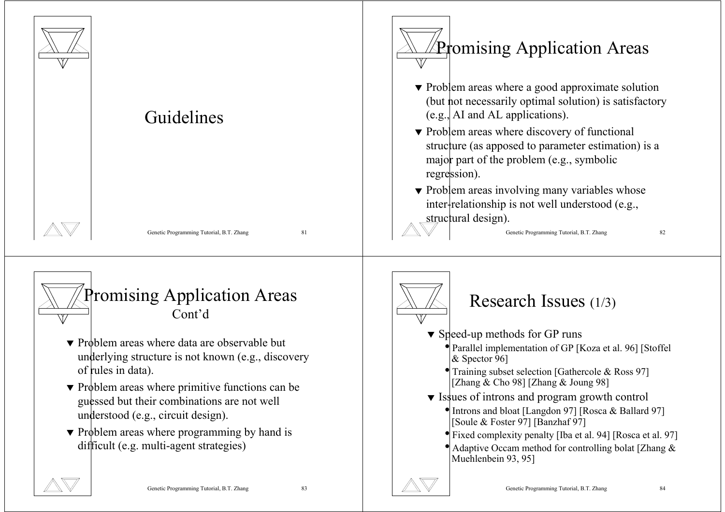

- ▼ Problem areas where primitive functions can be guessed but their combinations are not well understood (e.g., circuit design).
- ▼ Problem areas where programming by hand is difficult (e.g. multi-agent strategies)



- Training subset selection [Gathercole & Ross 97] [Zhang  $\&$  Cho 98] [Zhang  $\&$  Joung 98]
- ▼ Issues of introns and program growth control
	- Introns and bloat [Langdon 97] [Rosca & Ballard 97] [Soule & Foster 97] [Banzhaf 97]
	- Fixed complexity penalty [Iba et al. 94] [Rosca et al. 97]
	- Adaptive Occam method for controlling bolat [Zhang & Muehlenbein 93, 95]

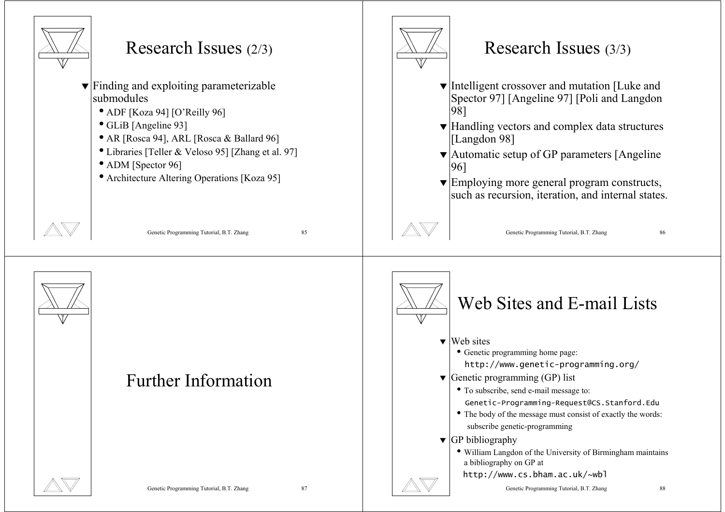